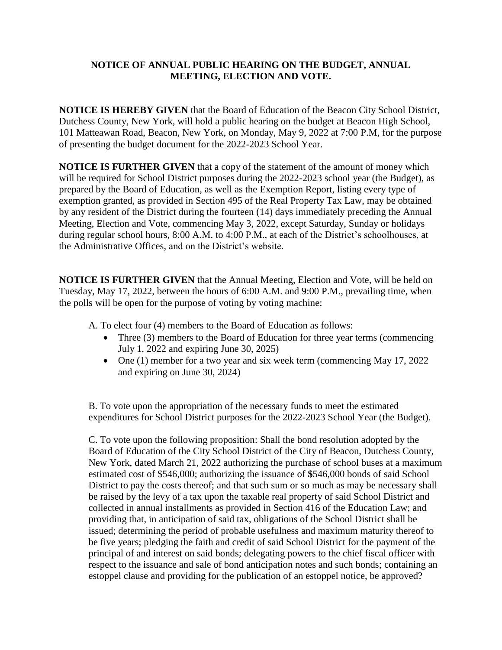## **NOTICE OF ANNUAL PUBLIC HEARING ON THE BUDGET, ANNUAL MEETING, ELECTION AND VOTE.**

**NOTICE IS HEREBY GIVEN** that the Board of Education of the Beacon City School District, Dutchess County, New York, will hold a public hearing on the budget at Beacon High School, 101 Matteawan Road, Beacon, New York, on Monday, May 9, 2022 at 7:00 P.M, for the purpose of presenting the budget document for the 2022-2023 School Year.

**NOTICE IS FURTHER GIVEN** that a copy of the statement of the amount of money which will be required for School District purposes during the 2022-2023 school year (the Budget), as prepared by the Board of Education, as well as the Exemption Report, listing every type of exemption granted, as provided in Section 495 of the Real Property Tax Law, may be obtained by any resident of the District during the fourteen (14) days immediately preceding the Annual Meeting, Election and Vote, commencing May 3, 2022, except Saturday, Sunday or holidays during regular school hours, 8:00 A.M. to 4:00 P.M., at each of the District's schoolhouses, at the Administrative Offices, and on the District's website.

**NOTICE IS FURTHER GIVEN** that the Annual Meeting, Election and Vote, will be held on Tuesday, May 17, 2022, between the hours of 6:00 A.M. and 9:00 P.M., prevailing time, when the polls will be open for the purpose of voting by voting machine:

A. To elect four (4) members to the Board of Education as follows:

- Three (3) members to the Board of Education for three year terms (commencing July 1, 2022 and expiring June 30, 2025)
- One (1) member for a two year and six week term (commencing May 17, 2022) and expiring on June 30, 2024)

B. To vote upon the appropriation of the necessary funds to meet the estimated expenditures for School District purposes for the 2022-2023 School Year (the Budget).

C. To vote upon the following proposition: Shall the bond resolution adopted by the Board of Education of the City School District of the City of Beacon, Dutchess County, New York, dated March 21, 2022 authorizing the purchase of school buses at a maximum estimated cost of \$546,000; authorizing the issuance of **\$**546,000 bonds of said School District to pay the costs thereof; and that such sum or so much as may be necessary shall be raised by the levy of a tax upon the taxable real property of said School District and collected in annual installments as provided in Section 416 of the Education Law; and providing that, in anticipation of said tax, obligations of the School District shall be issued; determining the period of probable usefulness and maximum maturity thereof to be five years; pledging the faith and credit of said School District for the payment of the principal of and interest on said bonds; delegating powers to the chief fiscal officer with respect to the issuance and sale of bond anticipation notes and such bonds; containing an estoppel clause and providing for the publication of an estoppel notice, be approved?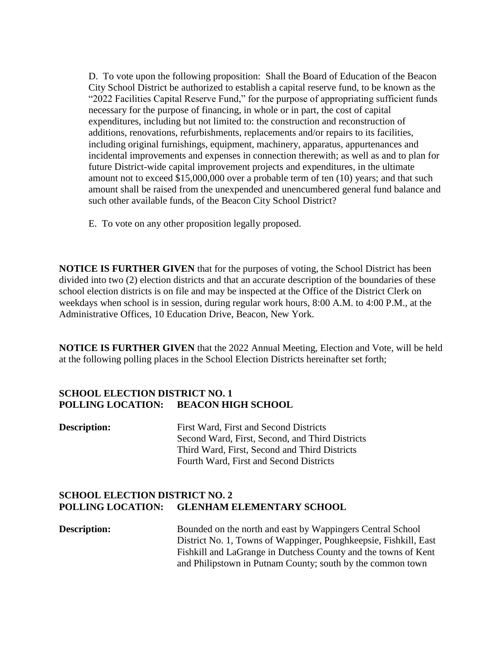D. To vote upon the following proposition: Shall the Board of Education of the Beacon City School District be authorized to establish a capital reserve fund, to be known as the "2022 Facilities Capital Reserve Fund," for the purpose of appropriating sufficient funds necessary for the purpose of financing, in whole or in part, the cost of capital expenditures, including but not limited to: the construction and reconstruction of additions, renovations, refurbishments, replacements and/or repairs to its facilities, including original furnishings, equipment, machinery, apparatus, appurtenances and incidental improvements and expenses in connection therewith; as well as and to plan for future District-wide capital improvement projects and expenditures, in the ultimate amount not to exceed \$15,000,000 over a probable term of ten (10) years; and that such amount shall be raised from the unexpended and unencumbered general fund balance and such other available funds, of the Beacon City School District?

E. To vote on any other proposition legally proposed.

**NOTICE IS FURTHER GIVEN** that for the purposes of voting, the School District has been divided into two (2) election districts and that an accurate description of the boundaries of these school election districts is on file and may be inspected at the Office of the District Clerk on weekdays when school is in session, during regular work hours, 8:00 A.M. to 4:00 P.M., at the Administrative Offices, 10 Education Drive, Beacon, New York.

**NOTICE IS FURTHER GIVEN** that the 2022 Annual Meeting, Election and Vote, will be held at the following polling places in the School Election Districts hereinafter set forth;

## **SCHOOL ELECTION DISTRICT NO. 1 POLLING LOCATION: BEACON HIGH SCHOOL**

| <b>Description:</b> | First Ward, First and Second Districts          |
|---------------------|-------------------------------------------------|
|                     | Second Ward, First, Second, and Third Districts |
|                     | Third Ward, First, Second and Third Districts   |
|                     | Fourth Ward, First and Second Districts         |

## **SCHOOL ELECTION DISTRICT NO. 2 POLLING LOCATION: GLENHAM ELEMENTARY SCHOOL**

**Description:** Bounded on the north and east by Wappingers Central School District No. 1, Towns of Wappinger, Poughkeepsie, Fishkill, East Fishkill and LaGrange in Dutchess County and the towns of Kent and Philipstown in Putnam County; south by the common town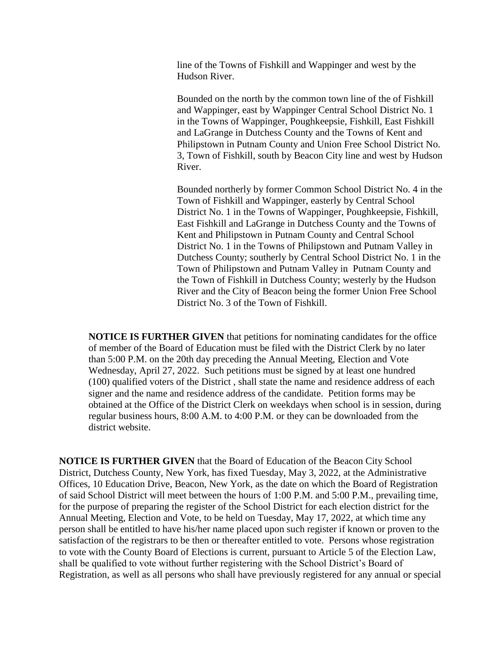line of the Towns of Fishkill and Wappinger and west by the Hudson River.

Bounded on the north by the common town line of the of Fishkill and Wappinger, east by Wappinger Central School District No. 1 in the Towns of Wappinger, Poughkeepsie, Fishkill, East Fishkill and LaGrange in Dutchess County and the Towns of Kent and Philipstown in Putnam County and Union Free School District No. 3, Town of Fishkill, south by Beacon City line and west by Hudson River.

Bounded northerly by former Common School District No. 4 in the Town of Fishkill and Wappinger, easterly by Central School District No. 1 in the Towns of Wappinger, Poughkeepsie, Fishkill, East Fishkill and LaGrange in Dutchess County and the Towns of Kent and Philipstown in Putnam County and Central School District No. 1 in the Towns of Philipstown and Putnam Valley in Dutchess County; southerly by Central School District No. 1 in the Town of Philipstown and Putnam Valley in Putnam County and the Town of Fishkill in Dutchess County; westerly by the Hudson River and the City of Beacon being the former Union Free School District No. 3 of the Town of Fishkill.

**NOTICE IS FURTHER GIVEN** that petitions for nominating candidates for the office of member of the Board of Education must be filed with the District Clerk by no later than 5:00 P.M. on the 20th day preceding the Annual Meeting, Election and Vote Wednesday, April 27, 2022. Such petitions must be signed by at least one hundred (100) qualified voters of the District , shall state the name and residence address of each signer and the name and residence address of the candidate. Petition forms may be obtained at the Office of the District Clerk on weekdays when school is in session, during regular business hours, 8:00 A.M. to 4:00 P.M. or they can be downloaded from the district website.

**NOTICE IS FURTHER GIVEN** that the Board of Education of the Beacon City School District, Dutchess County, New York, has fixed Tuesday, May 3, 2022, at the Administrative Offices, 10 Education Drive, Beacon, New York, as the date on which the Board of Registration of said School District will meet between the hours of 1:00 P.M. and 5:00 P.M., prevailing time, for the purpose of preparing the register of the School District for each election district for the Annual Meeting, Election and Vote, to be held on Tuesday, May 17, 2022, at which time any person shall be entitled to have his/her name placed upon such register if known or proven to the satisfaction of the registrars to be then or thereafter entitled to vote. Persons whose registration to vote with the County Board of Elections is current, pursuant to Article 5 of the Election Law, shall be qualified to vote without further registering with the School District's Board of Registration, as well as all persons who shall have previously registered for any annual or special